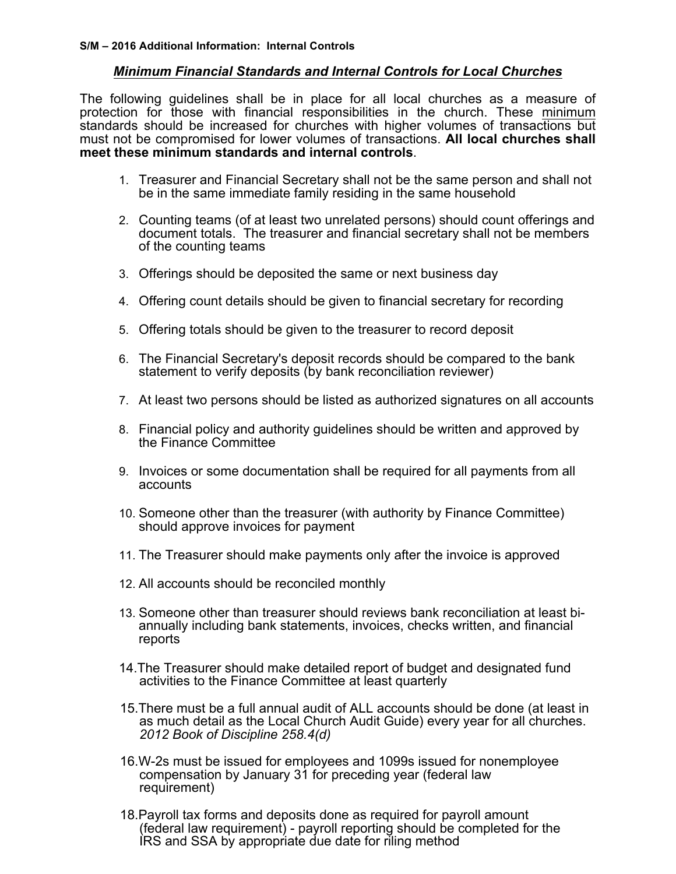## *Minimum Financial Standards and Internal Controls for Local Churches*

The following guidelines shall be in place for all local churches as a measure of protection for those with financial responsibilities in the church. These minimum standards should be increased for churches with higher volumes of transactions but must not be compromised for lower volumes of transactions. **All local churches shall meet these minimum standards and internal controls**.

- 1. Treasurer and Financial Secretary shall not be the same person and shall not be in the same immediate family residing in the same household
- 2. Counting teams (of at least two unrelated persons) should count offerings and document totals. The treasurer and financial secretary shall not be members of the counting teams
- 3. Offerings should be deposited the same or next business day
- 4. Offering count details should be given to financial secretary for recording
- 5. Offering totals should be given to the treasurer to record deposit
- 6. The Financial Secretary's deposit records should be compared to the bank statement to verify deposits (by bank reconciliation reviewer)
- 7. At least two persons should be listed as authorized signatures on all accounts
- 8. Financial policy and authority guidelines should be written and approved by the Finance Committee
- 9. Invoices or some documentation shall be required for all payments from all accounts
- 10. Someone other than the treasurer (with authority by Finance Committee) should approve invoices for payment
- 11. The Treasurer should make payments only after the invoice is approved
- 12. All accounts should be reconciled monthly
- 13. Someone other than treasurer should reviews bank reconciliation at least bi- annually including bank statements, invoices, checks written, and financial reports
- 14.The Treasurer should make detailed report of budget and designated fund activities to the Finance Committee at least quarterly
- 15.There must be a full annual audit of ALL accounts should be done (at least in as much detail as the Local Church Audit Guide) every year for all churches. *2012 Book of Discipline 258.4(d)*
- 16.W-2s must be issued for employees and 1099s issued for nonemployee compensation by January 31 for preceding year (federal law requirement)
- 18.Payroll tax forms and deposits done as required for payroll amount (federal law requirement) - payroll reporting should be completed for the IRS and SSA by appropriate due date for riling method